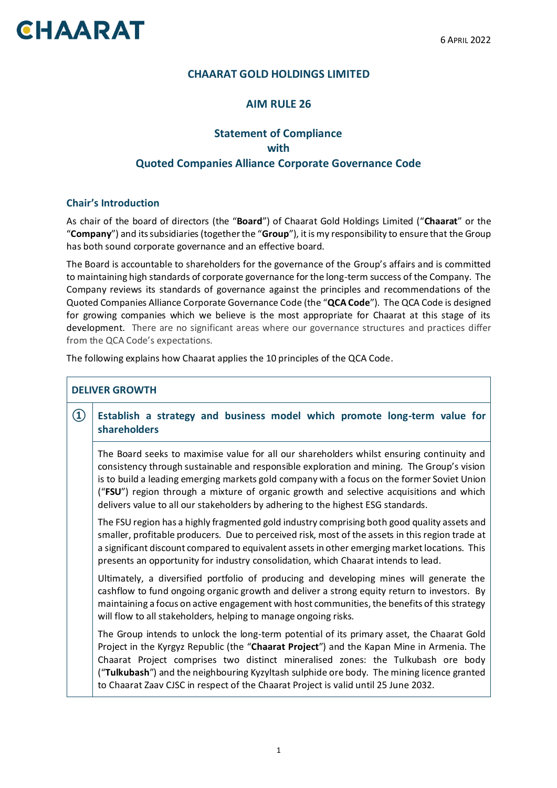# **CHAARAT**

## **CHAARAT GOLD HOLDINGS LIMITED**

## **AIM RULE 26**

## **Statement of Compliance with Quoted Companies Alliance Corporate Governance Code**

#### **Chair's Introduction**

As chair of the board of directors (the "**Board**") of Chaarat Gold Holdings Limited ("**Chaarat**" or the "**Company**") and its subsidiaries (together the "**Group**"), it is my responsibility to ensure that the Group has both sound corporate governance and an effective board.

The Board is accountable to shareholders for the governance of the Group's affairs and is committed to maintaining high standards of corporate governance for the long-term success of the Company. The Company reviews its standards of governance against the principles and recommendations of the Quoted Companies Alliance Corporate Governance Code (the "**QCA Code**"). The QCA Code is designed for growing companies which we believe is the most appropriate for Chaarat at this stage of its development. There are no significant areas where our governance structures and practices differ from the QCA Code's expectations.

The following explains how Chaarat applies the 10 principles of the QCA Code.

|                                | <b>DELIVER GROWTH</b>                                                                                                                                                                                                                                                                                                                                                                                                                                                 |
|--------------------------------|-----------------------------------------------------------------------------------------------------------------------------------------------------------------------------------------------------------------------------------------------------------------------------------------------------------------------------------------------------------------------------------------------------------------------------------------------------------------------|
| $\textcircled{\scriptsize{1}}$ | Establish a strategy and business model which promote long-term value for<br><b>shareholders</b>                                                                                                                                                                                                                                                                                                                                                                      |
|                                | The Board seeks to maximise value for all our shareholders whilst ensuring continuity and<br>consistency through sustainable and responsible exploration and mining. The Group's vision<br>is to build a leading emerging markets gold company with a focus on the former Soviet Union<br>("FSU") region through a mixture of organic growth and selective acquisitions and which<br>delivers value to all our stakeholders by adhering to the highest ESG standards. |
|                                | The FSU region has a highly fragmented gold industry comprising both good quality assets and<br>smaller, profitable producers. Due to perceived risk, most of the assets in this region trade at<br>a significant discount compared to equivalent assets in other emerging market locations. This<br>presents an opportunity for industry consolidation, which Chaarat intends to lead.                                                                               |
|                                | Ultimately, a diversified portfolio of producing and developing mines will generate the<br>cashflow to fund ongoing organic growth and deliver a strong equity return to investors. By<br>maintaining a focus on active engagement with host communities, the benefits of this strategy<br>will flow to all stakeholders, helping to manage ongoing risks.                                                                                                            |
|                                | The Group intends to unlock the long-term potential of its primary asset, the Chaarat Gold<br>Project in the Kyrgyz Republic (the "Chaarat Project") and the Kapan Mine in Armenia. The<br>Chaarat Project comprises two distinct mineralised zones: the Tulkubash ore body<br>("Tulkubash") and the neighbouring Kyzyltash sulphide ore body. The mining licence granted<br>to Chaarat Zaav CJSC in respect of the Chaarat Project is valid until 25 June 2032.      |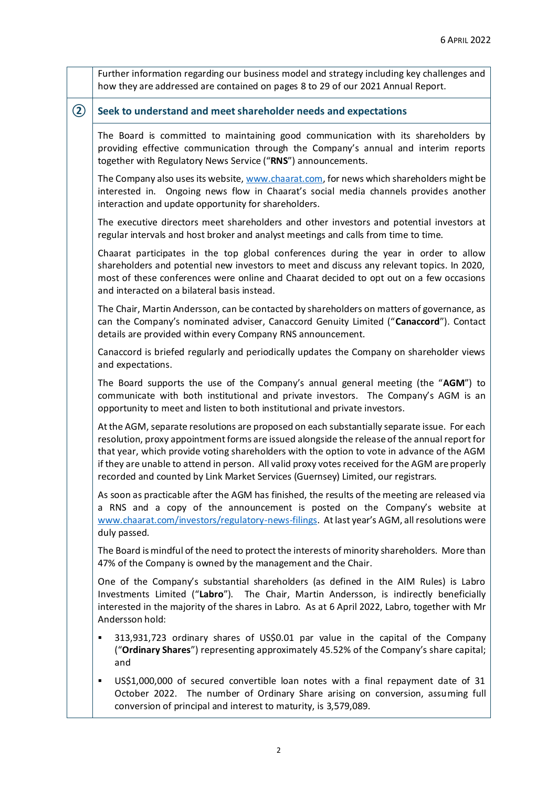|               | Further information regarding our business model and strategy including key challenges and<br>how they are addressed are contained on pages 8 to 29 of our 2021 Annual Report.                                                                                                                                                                                                                                                                                                     |
|---------------|------------------------------------------------------------------------------------------------------------------------------------------------------------------------------------------------------------------------------------------------------------------------------------------------------------------------------------------------------------------------------------------------------------------------------------------------------------------------------------|
| $\circled{2}$ | Seek to understand and meet shareholder needs and expectations                                                                                                                                                                                                                                                                                                                                                                                                                     |
|               | The Board is committed to maintaining good communication with its shareholders by<br>providing effective communication through the Company's annual and interim reports<br>together with Regulatory News Service ("RNS") announcements.                                                                                                                                                                                                                                            |
|               | The Company also uses its website, www.chaarat.com, for news which shareholders might be<br>interested in. Ongoing news flow in Chaarat's social media channels provides another<br>interaction and update opportunity for shareholders.                                                                                                                                                                                                                                           |
|               | The executive directors meet shareholders and other investors and potential investors at<br>regular intervals and host broker and analyst meetings and calls from time to time.                                                                                                                                                                                                                                                                                                    |
|               | Chaarat participates in the top global conferences during the year in order to allow<br>shareholders and potential new investors to meet and discuss any relevant topics. In 2020,<br>most of these conferences were online and Chaarat decided to opt out on a few occasions<br>and interacted on a bilateral basis instead.                                                                                                                                                      |
|               | The Chair, Martin Andersson, can be contacted by shareholders on matters of governance, as<br>can the Company's nominated adviser, Canaccord Genuity Limited ("Canaccord"). Contact<br>details are provided within every Company RNS announcement.                                                                                                                                                                                                                                 |
|               | Canaccord is briefed regularly and periodically updates the Company on shareholder views<br>and expectations.                                                                                                                                                                                                                                                                                                                                                                      |
|               | The Board supports the use of the Company's annual general meeting (the "AGM") to<br>communicate with both institutional and private investors. The Company's AGM is an<br>opportunity to meet and listen to both institutional and private investors.                                                                                                                                                                                                                             |
|               | At the AGM, separate resolutions are proposed on each substantially separate issue. For each<br>resolution, proxy appointment forms are issued alongside the release of the annual report for<br>that year, which provide voting shareholders with the option to vote in advance of the AGM<br>if they are unable to attend in person. All valid proxy votes received for the AGM are properly<br>recorded and counted by Link Market Services (Guernsey) Limited, our registrars. |
|               | As soon as practicable after the AGM has finished, the results of the meeting are released via<br>a RNS and a copy of the announcement is posted on the Company's website at<br>www.chaarat.com/investors/regulatory-news-filings. At last year's AGM, all resolutions were<br>duly passed.                                                                                                                                                                                        |
|               | The Board is mindful of the need to protect the interests of minority shareholders. More than<br>47% of the Company is owned by the management and the Chair.                                                                                                                                                                                                                                                                                                                      |
|               | One of the Company's substantial shareholders (as defined in the AIM Rules) is Labro<br>Investments Limited ("Labro"). The Chair, Martin Andersson, is indirectly beneficially<br>interested in the majority of the shares in Labro. As at 6 April 2022, Labro, together with Mr<br>Andersson hold:                                                                                                                                                                                |
|               | 313,931,723 ordinary shares of US\$0.01 par value in the capital of the Company<br>٠<br>("Ordinary Shares") representing approximately 45.52% of the Company's share capital;<br>and                                                                                                                                                                                                                                                                                               |
|               | US\$1,000,000 of secured convertible loan notes with a final repayment date of 31<br>٠<br>October 2022. The number of Ordinary Share arising on conversion, assuming full<br>conversion of principal and interest to maturity, is 3,579,089.                                                                                                                                                                                                                                       |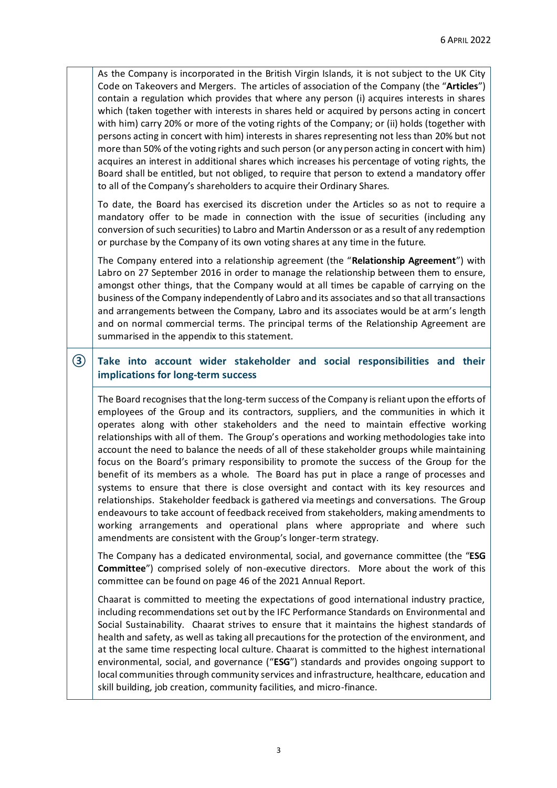As the Company is incorporated in the British Virgin Islands, it is not subject to the UK City Code on Takeovers and Mergers. The articles of association of the Company (the "**Articles**") contain a regulation which provides that where any person (i) acquires interests in shares which (taken together with interests in shares held or acquired by persons acting in concert with him) carry 20% or more of the voting rights of the Company; or (ii) holds (together with persons acting in concert with him) interests in shares representing not less than 20% but not more than 50% of the voting rights and such person (or any person acting in concert with him) acquires an interest in additional shares which increases his percentage of voting rights, the Board shall be entitled, but not obliged, to require that person to extend a mandatory offer to all of the Company's shareholders to acquire their Ordinary Shares.

To date, the Board has exercised its discretion under the Articles so as not to require a mandatory offer to be made in connection with the issue of securities (including any conversion of such securities) to Labro and Martin Andersson or as a result of any redemption or purchase by the Company of its own voting shares at any time in the future.

The Company entered into a relationship agreement (the "**Relationship Agreement**") with Labro on 27 September 2016 in order to manage the relationship between them to ensure, amongst other things, that the Company would at all times be capable of carrying on the business of the Company independently of Labro and its associates and so that all transactions and arrangements between the Company, Labro and its associates would be at arm's length and on normal commercial terms. The principal terms of the Relationship Agreement are summarised in the appendix to this statement.

### **③ Take into account wider stakeholder and social responsibilities and their implications for long-term success**

The Board recognises that the long-term success of the Company is reliant upon the efforts of employees of the Group and its contractors, suppliers, and the communities in which it operates along with other stakeholders and the need to maintain effective working relationships with all of them. The Group's operations and working methodologies take into account the need to balance the needs of all of these stakeholder groups while maintaining focus on the Board's primary responsibility to promote the success of the Group for the benefit of its members as a whole. The Board has put in place a range of processes and systems to ensure that there is close oversight and contact with its key resources and relationships. Stakeholder feedback is gathered via meetings and conversations. The Group endeavours to take account of feedback received from stakeholders, making amendments to working arrangements and operational plans where appropriate and where such amendments are consistent with the Group's longer-term strategy.

The Company has a dedicated environmental, social, and governance committee (the "**ESG Committee**") comprised solely of non-executive directors. More about the work of this committee can be found on page 46 of the 2021 Annual Report.

Chaarat is committed to meeting the expectations of good international industry practice, including recommendations set out by the IFC Performance Standards on Environmental and Social Sustainability. Chaarat strives to ensure that it maintains the highest standards of health and safety, as well as taking all precautions for the protection of the environment, and at the same time respecting local culture. Chaarat is committed to the highest international environmental, social, and governance ("**ESG**") standards and provides ongoing support to local communities through community services and infrastructure, healthcare, education and skill building, job creation, community facilities, and micro-finance.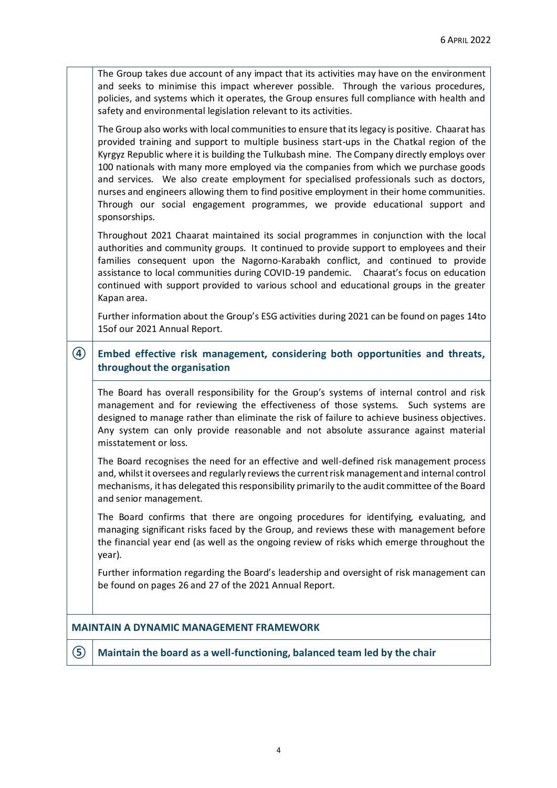| ⑤              | Maintain the board as a well-functioning, balanced team led by the chair                                                                                                                                                                                                                                                                                                                                                                                                                                                                                                                                                                                                  |
|----------------|---------------------------------------------------------------------------------------------------------------------------------------------------------------------------------------------------------------------------------------------------------------------------------------------------------------------------------------------------------------------------------------------------------------------------------------------------------------------------------------------------------------------------------------------------------------------------------------------------------------------------------------------------------------------------|
|                | <b>MAINTAIN A DYNAMIC MANAGEMENT FRAMEWORK</b>                                                                                                                                                                                                                                                                                                                                                                                                                                                                                                                                                                                                                            |
|                | Further information regarding the Board's leadership and oversight of risk management can<br>be found on pages 26 and 27 of the 2021 Annual Report.                                                                                                                                                                                                                                                                                                                                                                                                                                                                                                                       |
|                | The Board confirms that there are ongoing procedures for identifying, evaluating, and<br>managing significant risks faced by the Group, and reviews these with management before<br>the financial year end (as well as the ongoing review of risks which emerge throughout the<br>year).                                                                                                                                                                                                                                                                                                                                                                                  |
|                | The Board recognises the need for an effective and well-defined risk management process<br>and, whilst it oversees and regularly reviews the current risk management and internal control<br>mechanisms, it has delegated this responsibility primarily to the audit committee of the Board<br>and senior management.                                                                                                                                                                                                                                                                                                                                                     |
|                | The Board has overall responsibility for the Group's systems of internal control and risk<br>management and for reviewing the effectiveness of those systems. Such systems are<br>designed to manage rather than eliminate the risk of failure to achieve business objectives.<br>Any system can only provide reasonable and not absolute assurance against material<br>misstatement or loss.                                                                                                                                                                                                                                                                             |
| $\bigcircledA$ | Embed effective risk management, considering both opportunities and threats,<br>throughout the organisation                                                                                                                                                                                                                                                                                                                                                                                                                                                                                                                                                               |
|                | Further information about the Group's ESG activities during 2021 can be found on pages 14to<br>15of our 2021 Annual Report.                                                                                                                                                                                                                                                                                                                                                                                                                                                                                                                                               |
|                | Throughout 2021 Chaarat maintained its social programmes in conjunction with the local<br>authorities and community groups. It continued to provide support to employees and their<br>families consequent upon the Nagorno-Karabakh conflict, and continued to provide<br>assistance to local communities during COVID-19 pandemic.  Chaarat's focus on education<br>continued with support provided to various school and educational groups in the greater<br>Kapan area.                                                                                                                                                                                               |
|                | The Group also works with local communities to ensure that its legacy is positive. Chaarat has<br>provided training and support to multiple business start-ups in the Chatkal region of the<br>Kyrgyz Republic where it is building the Tulkubash mine. The Company directly employs over<br>100 nationals with many more employed via the companies from which we purchase goods<br>and services. We also create employment for specialised professionals such as doctors,<br>nurses and engineers allowing them to find positive employment in their home communities.<br>Through our social engagement programmes, we provide educational support and<br>sponsorships. |
|                | The Group takes due account of any impact that its activities may have on the environment<br>and seeks to minimise this impact wherever possible. Through the various procedures,<br>policies, and systems which it operates, the Group ensures full compliance with health and<br>safety and environmental legislation relevant to its activities.                                                                                                                                                                                                                                                                                                                       |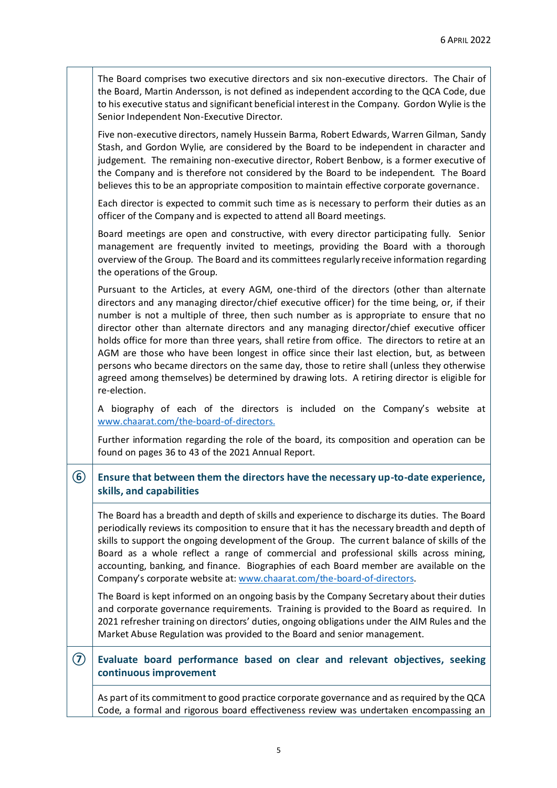|            | The Board comprises two executive directors and six non-executive directors. The Chair of<br>the Board, Martin Andersson, is not defined as independent according to the QCA Code, due<br>to his executive status and significant beneficial interest in the Company. Gordon Wylie is the<br>Senior Independent Non-Executive Director.                                                                                                                                                                                                                                                                                                                                                                                                                                                       |
|------------|-----------------------------------------------------------------------------------------------------------------------------------------------------------------------------------------------------------------------------------------------------------------------------------------------------------------------------------------------------------------------------------------------------------------------------------------------------------------------------------------------------------------------------------------------------------------------------------------------------------------------------------------------------------------------------------------------------------------------------------------------------------------------------------------------|
|            | Five non-executive directors, namely Hussein Barma, Robert Edwards, Warren Gilman, Sandy<br>Stash, and Gordon Wylie, are considered by the Board to be independent in character and<br>judgement. The remaining non-executive director, Robert Benbow, is a former executive of<br>the Company and is therefore not considered by the Board to be independent. The Board<br>believes this to be an appropriate composition to maintain effective corporate governance.                                                                                                                                                                                                                                                                                                                        |
|            | Each director is expected to commit such time as is necessary to perform their duties as an<br>officer of the Company and is expected to attend all Board meetings.                                                                                                                                                                                                                                                                                                                                                                                                                                                                                                                                                                                                                           |
|            | Board meetings are open and constructive, with every director participating fully. Senior<br>management are frequently invited to meetings, providing the Board with a thorough<br>overview of the Group. The Board and its committees regularly receive information regarding<br>the operations of the Group.                                                                                                                                                                                                                                                                                                                                                                                                                                                                                |
|            | Pursuant to the Articles, at every AGM, one-third of the directors (other than alternate<br>directors and any managing director/chief executive officer) for the time being, or, if their<br>number is not a multiple of three, then such number as is appropriate to ensure that no<br>director other than alternate directors and any managing director/chief executive officer<br>holds office for more than three years, shall retire from office. The directors to retire at an<br>AGM are those who have been longest in office since their last election, but, as between<br>persons who became directors on the same day, those to retire shall (unless they otherwise<br>agreed among themselves) be determined by drawing lots. A retiring director is eligible for<br>re-election. |
|            | A biography of each of the directors is included on the Company's website at<br>www.chaarat.com/the-board-of-directors.                                                                                                                                                                                                                                                                                                                                                                                                                                                                                                                                                                                                                                                                       |
|            | Further information regarding the role of the board, its composition and operation can be<br>found on pages 36 to 43 of the 2021 Annual Report.                                                                                                                                                                                                                                                                                                                                                                                                                                                                                                                                                                                                                                               |
| 6          | Ensure that between them the directors have the necessary up-to-date experience,<br>skills, and capabilities                                                                                                                                                                                                                                                                                                                                                                                                                                                                                                                                                                                                                                                                                  |
|            | The Board has a breadth and depth of skills and experience to discharge its duties. The Board<br>periodically reviews its composition to ensure that it has the necessary breadth and depth of<br>skills to support the ongoing development of the Group. The current balance of skills of the<br>Board as a whole reflect a range of commercial and professional skills across mining,<br>accounting, banking, and finance. Biographies of each Board member are available on the<br>Company's corporate website at: www.chaarat.com/the-board-of-directors.                                                                                                                                                                                                                                 |
|            | The Board is kept informed on an ongoing basis by the Company Secretary about their duties<br>and corporate governance requirements. Training is provided to the Board as required. In<br>2021 refresher training on directors' duties, ongoing obligations under the AIM Rules and the<br>Market Abuse Regulation was provided to the Board and senior management.                                                                                                                                                                                                                                                                                                                                                                                                                           |
| $\bigcirc$ | Evaluate board performance based on clear and relevant objectives, seeking<br>continuous improvement                                                                                                                                                                                                                                                                                                                                                                                                                                                                                                                                                                                                                                                                                          |
|            | As part of its commitment to good practice corporate governance and as required by the QCA<br>Code, a formal and rigorous board effectiveness review was undertaken encompassing an                                                                                                                                                                                                                                                                                                                                                                                                                                                                                                                                                                                                           |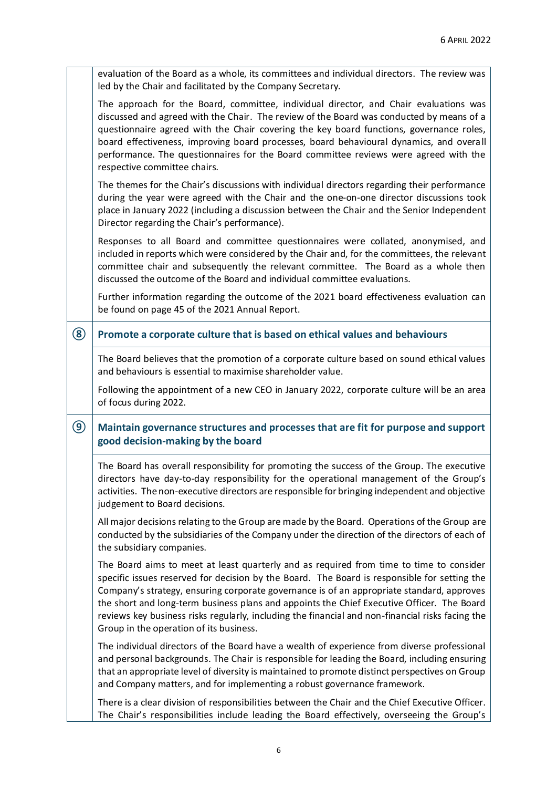|                | evaluation of the Board as a whole, its committees and individual directors. The review was<br>led by the Chair and facilitated by the Company Secretary.                                                                                                                                                                                                                                                                                                                                       |
|----------------|-------------------------------------------------------------------------------------------------------------------------------------------------------------------------------------------------------------------------------------------------------------------------------------------------------------------------------------------------------------------------------------------------------------------------------------------------------------------------------------------------|
|                | The approach for the Board, committee, individual director, and Chair evaluations was<br>discussed and agreed with the Chair. The review of the Board was conducted by means of a<br>questionnaire agreed with the Chair covering the key board functions, governance roles,<br>board effectiveness, improving board processes, board behavioural dynamics, and overall<br>performance. The questionnaires for the Board committee reviews were agreed with the<br>respective committee chairs. |
|                | The themes for the Chair's discussions with individual directors regarding their performance<br>during the year were agreed with the Chair and the one-on-one director discussions took<br>place in January 2022 (including a discussion between the Chair and the Senior Independent<br>Director regarding the Chair's performance).                                                                                                                                                           |
|                | Responses to all Board and committee questionnaires were collated, anonymised, and<br>included in reports which were considered by the Chair and, for the committees, the relevant<br>committee chair and subsequently the relevant committee. The Board as a whole then<br>discussed the outcome of the Board and individual committee evaluations.                                                                                                                                            |
|                | Further information regarding the outcome of the 2021 board effectiveness evaluation can<br>be found on page 45 of the 2021 Annual Report.                                                                                                                                                                                                                                                                                                                                                      |
| $\circledS$    | Promote a corporate culture that is based on ethical values and behaviours                                                                                                                                                                                                                                                                                                                                                                                                                      |
|                |                                                                                                                                                                                                                                                                                                                                                                                                                                                                                                 |
|                | The Board believes that the promotion of a corporate culture based on sound ethical values<br>and behaviours is essential to maximise shareholder value.                                                                                                                                                                                                                                                                                                                                        |
|                | Following the appointment of a new CEO in January 2022, corporate culture will be an area<br>of focus during 2022.                                                                                                                                                                                                                                                                                                                                                                              |
| $\circledcirc$ | Maintain governance structures and processes that are fit for purpose and support<br>good decision-making by the board                                                                                                                                                                                                                                                                                                                                                                          |
|                | The Board has overall responsibility for promoting the success of the Group. The executive<br>directors have day-to-day responsibility for the operational management of the Group's<br>activities. The non-executive directors are responsible for bringing independent and objective<br>judgement to Board decisions.                                                                                                                                                                         |
|                | All major decisions relating to the Group are made by the Board. Operations of the Group are<br>conducted by the subsidiaries of the Company under the direction of the directors of each of<br>the subsidiary companies.                                                                                                                                                                                                                                                                       |

Group in the operation of its business. The individual directors of the Board have a wealth of experience from diverse professional and personal backgrounds. The Chair is responsible for leading the Board, including ensuring that an appropriate level of diversity is maintained to promote distinct perspectives on Group and Company matters, and for implementing a robust governance framework.

the short and long-term business plans and appoints the Chief Executive Officer. The Board reviews key business risks regularly, including the financial and non-financial risks facing the

There is a clear division of responsibilities between the Chair and the Chief Executive Officer. The Chair's responsibilities include leading the Board effectively, overseeing the Group's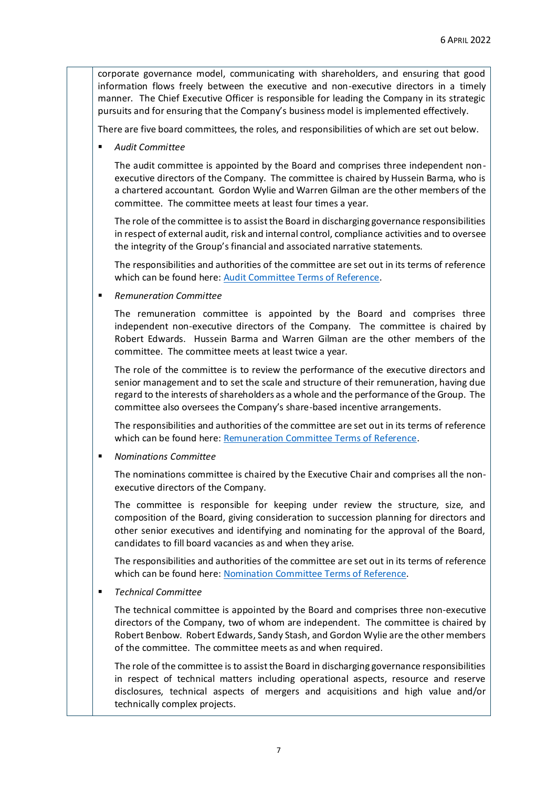corporate governance model, communicating with shareholders, and ensuring that good information flows freely between the executive and non-executive directors in a timely manner. The Chief Executive Officer is responsible for leading the Company in its strategic pursuits and for ensuring that the Company's business model is implemented effectively.

There are five board committees, the roles, and responsibilities of which are set out below.

▪ *Audit Committee*

The audit committee is appointed by the Board and comprises three independent nonexecutive directors of the Company. The committee is chaired by Hussein Barma, who is a chartered accountant. Gordon Wylie and Warren Gilman are the other members of the committee. The committee meets at least four times a year.

The role of the committee is to assist the Board in discharging governance responsibilities in respect of external audit, risk and internal control, compliance activities and to oversee the integrity of the Group's financial and associated narrative statements.

The responsibilities and authorities of the committee are set out in its terms of reference which can be found here[: Audit Committee Terms of Reference.](https://www.chaarat.com/wp-content/uploads/2021/09/ToR-Cttee-Audit-2021-09-08.pdf)

▪ *Remuneration Committee*

The remuneration committee is appointed by the Board and comprises three independent non-executive directors of the Company. The committee is chaired by Robert Edwards. Hussein Barma and Warren Gilman are the other members of the committee. The committee meets at least twice a year.

The role of the committee is to review the performance of the executive directors and senior management and to set the scale and structure of their remuneration, having due regard to the interests of shareholders as a whole and the performance of the Group. The committee also oversees the Company's share-based incentive arrangements.

The responsibilities and authorities of the committee are set out in its terms of reference which can be found here[: Remuneration Committee Terms of Reference.](https://www.chaarat.com/wp-content/uploads/2021/07/ToR-Cttee-Rem-2021-06-16-FINAL.pdf)

▪ *Nominations Committee*

The nominations committee is chaired by the Executive Chair and comprises all the nonexecutive directors of the Company.

The committee is responsible for keeping under review the structure, size, and composition of the Board, giving consideration to succession planning for directors and other senior executives and identifying and nominating for the approval of the Board, candidates to fill board vacancies as and when they arise.

The responsibilities and authorities of the committee are set out in its terms of reference which can be found here[: Nomination Committee Terms of Reference.](https://www.chaarat.com/wp-content/uploads/2021/07/ToR-Cttee-Nom-2021-06-16-FINAL.pdf)

▪ *Technical Committee*

The technical committee is appointed by the Board and comprises three non-executive directors of the Company, two of whom are independent. The committee is chaired by Robert Benbow. Robert Edwards, Sandy Stash, and Gordon Wylie are the other members of the committee. The committee meets as and when required.

The role of the committee is to assist the Board in discharging governance responsibilities in respect of technical matters including operational aspects, resource and reserve disclosures, technical aspects of mergers and acquisitions and high value and/or technically complex projects.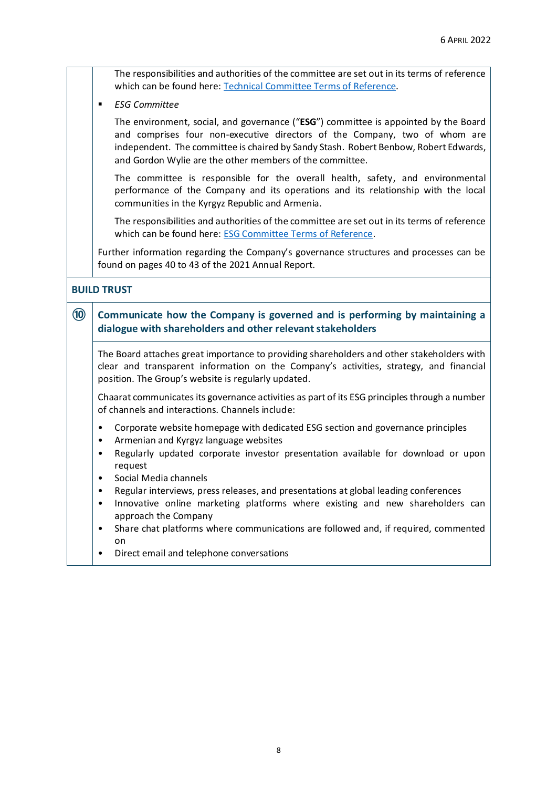The responsibilities and authorities of the committee are set out in its terms of reference which can be found here[: Technical Committee Terms of Reference.](https://www.chaarat.com/wp-content/uploads/2020/04/ToR-Cttee-Tech-2019-11-21.pdf)

▪ *ESG Committee*

The environment, social, and governance ("**ESG**") committee is appointed by the Board and comprises four non-executive directors of the Company, two of whom are independent. The committee is chaired by Sandy Stash. Robert Benbow, Robert Edwards, and Gordon Wylie are the other members of the committee.

The committee is responsible for the overall health, safety, and environmental performance of the Company and its operations and its relationship with the local communities in the Kyrgyz Republic and Armenia.

The responsibilities and authorities of the committee are set out in its terms of reference which can be found here[: ESG Committee Terms of Reference.](https://www.chaarat.com/wp-content/uploads/2021/07/ToR-Cttee-ESGHSEC-2021-06-16-FINAL.pdf)

Further information regarding the Company's governance structures and processes can be found on pages 40 to 43 of the 2021 Annual Report.

#### **BUILD TRUST**

### **⑩ Communicate how the Company is governed and is performing by maintaining a dialogue with shareholders and other relevant stakeholders**

The Board attaches great importance to providing shareholders and other stakeholders with clear and transparent information on the Company's activities, strategy, and financial position. The Group's website is regularly updated.

Chaarat communicates its governance activities as part of its ESG principles through a number of channels and interactions. Channels include:

- Corporate website homepage with dedicated ESG section and governance principles
- Armenian and Kyrgyz language websites
- Regularly updated corporate investor presentation available for download or upon request
- Social Media channels
- Regular interviews, press releases, and presentations at global leading conferences
- Innovative online marketing platforms where existing and new shareholders can approach the Company
- Share chat platforms where communications are followed and, if required, commented on
- Direct email and telephone conversations